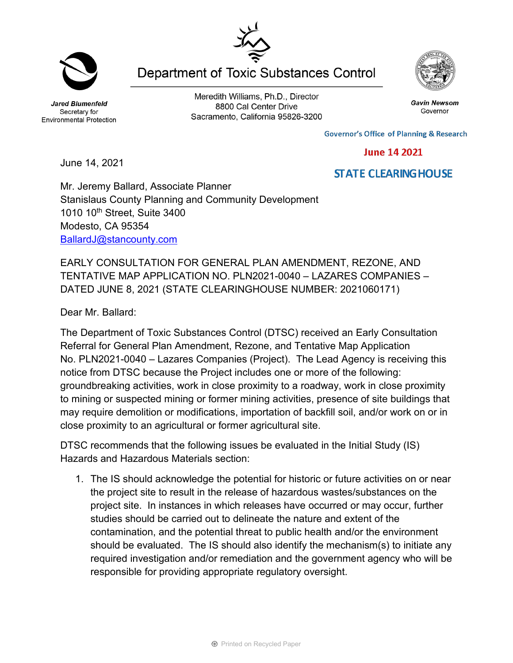Jared Blumenfeld Secretary for Environmental Protection

Meredith Williams, Ph.D., Director 8800 Cal Center Drive Sacramento, California 95826-3200

**Department of Toxic Substances Control** 

**Governor's Office of Planning & Research** 

**June 14 2021** 

**STATE CLEARING HOUSE** 

June 14, 2021

## Mr. Jeremy Ballard, Associate Planner Stanislaus County Planning and Community Development 1010 10<sup>th</sup> Street, Suite 3400 Modesto, CA 95354 [BallardJ@stancounty.com](mailto:BallardJ@stancounty.com)

EARLY CONSULTATION FOR GENERAL PLAN AMENDMENT, REZONE, AND TENTATIVE MAP APPLICATION NO. PLN2021-0040 – LAZARES COMPANIES – DATED JUNE 8, 2021 (STATE CLEARINGHOUSE NUMBER: 2021060171)

Dear Mr. Ballard:

The Department of Toxic Substances Control (DTSC) received an Early Consultation Referral for General Plan Amendment, Rezone, and Tentative Map Application No. PLN2021-0040 – Lazares Companies (Project). The Lead Agency is receiving this notice from DTSC because the Project includes one or more of the following: groundbreaking activities, work in close proximity to a roadway, work in close proximity to mining or suspected mining or former mining activities, presence of site buildings that may require demolition or modifications, importation of backfill soil, and/or work on or in close proximity to an agricultural or former agricultural site.

DTSC recommends that the following issues be evaluated in the Initial Study (IS) Hazards and Hazardous Materials section:

1. The IS should acknowledge the potential for historic or future activities on or near the project site to result in the release of hazardous wastes/substances on the project site. In instances in which releases have occurred or may occur, further studies should be carried out to delineate the nature and extent of the contamination, and the potential threat to public health and/or the environment should be evaluated. The IS should also identify the mechanism(s) to initiate any required investigation and/or remediation and the government agency who will be responsible for providing appropriate regulatory oversight.





Gavin Newsom

Governor

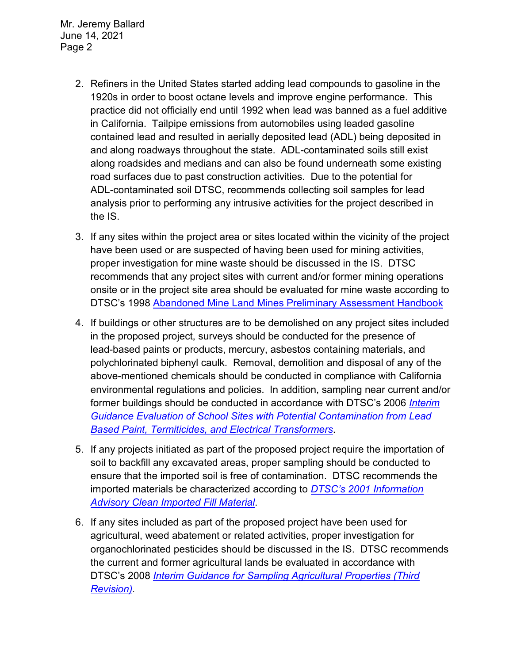Mr. Jeremy Ballard June 14, 2021 Page 2

- 2. Refiners in the United States started adding lead compounds to gasoline in the 1920s in order to boost octane levels and improve engine performance. This practice did not officially end until 1992 when lead was banned as a fuel additive in California. Tailpipe emissions from automobiles using leaded gasoline contained lead and resulted in aerially deposited lead (ADL) being deposited in and along roadways throughout the state. ADL-contaminated soils still exist along roadsides and medians and can also be found underneath some existing road surfaces due to past construction activities. Due to the potential for ADL-contaminated soil DTSC, recommends collecting soil samples for lead analysis prior to performing any intrusive activities for the project described in the IS.
- 3. If any sites within the project area or sites located within the vicinity of the project have been used or are suspected of having been used for mining activities, proper investigation for mine waste should be discussed in the IS. DTSC recommends that any project sites with current and/or former mining operations onsite or in the project site area should be evaluated for mine waste according to DTSC's 1998 Abandoned Mine Land Mines Preliminary Assessment Handbook
- 4. If buildings or other structures are to be demolished on any project sites included in the proposed project, surveys should be conducted for the presence of lead-based paints or products, mercury, asbestos containing materials, and polychlorinated biphenyl caulk. Removal, demolition and disposal of any of the above-mentioned chemicals should be conducted in compliance with California environmental regulations and policies. In addition, sampling near current and/or former buildings should be conducted in accordance with DTSC's 2006 *[Interim](https://dtsc.ca.gov/2020/04/17/document-request/?wpf337186_14=https://dtsc.ca.gov/wpcontent/uploads/sites/31/2018/09/Guidance_Lead_%20%20Contamination_050118.pdf)  [Guidance Evaluation of School Sites with Potential Contamination from Lead](https://dtsc.ca.gov/2020/04/17/document-request/?wpf337186_14=https://dtsc.ca.gov/wpcontent/uploads/sites/31/2018/09/Guidance_Lead_%20%20Contamination_050118.pdf)  [Based Paint, Termiticides, and Electrical Transformers](https://dtsc.ca.gov/2020/04/17/document-request/?wpf337186_14=https://dtsc.ca.gov/wpcontent/uploads/sites/31/2018/09/Guidance_Lead_%20%20Contamination_050118.pdf)*.
- 5. If any projects initiated as part of the proposed project require the importation of soil to backfill any excavated areas, proper sampling should be conducted to ensure that the imported soil is free of contamination. DTSC recommends the imported materials be characterized according to *[DTSC's 2001 Information](https://dtsc.ca.gov/wp-content/uploads/sites/31/2018/09/SMP_FS_Cleanfill-Schools.pdf)  [Advisory Clean Imported Fill Material](https://dtsc.ca.gov/wp-content/uploads/sites/31/2018/09/SMP_FS_Cleanfill-Schools.pdf)*.
- 6. If any sites included as part of the proposed project have been used for agricultural, weed abatement or related activities, proper investigation for organochlorinated pesticides should be discussed in the IS. DTSC recommends the current and former agricultural lands be evaluated in accordance with DTSC's 2008 *[Interim Guidance for Sampling Agricultural Properties \(Third](https://dtsc.ca.gov/wp-content/uploads/sites/31/2018/09/Ag-Guidance-Rev-3-August-7-2008-2.pdf)  [Revision\).](https://dtsc.ca.gov/wp-content/uploads/sites/31/2018/09/Ag-Guidance-Rev-3-August-7-2008-2.pdf)*